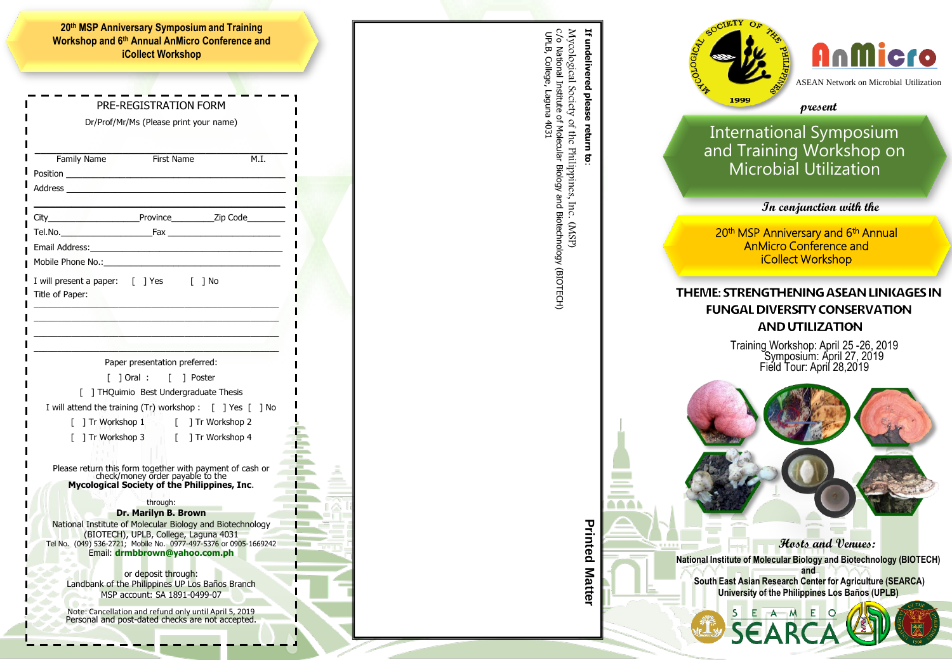|                                                                                                                | <b>iCollect Workshop</b>                                                                                                                                                                                                             |               |      |
|----------------------------------------------------------------------------------------------------------------|--------------------------------------------------------------------------------------------------------------------------------------------------------------------------------------------------------------------------------------|---------------|------|
|                                                                                                                |                                                                                                                                                                                                                                      |               |      |
|                                                                                                                | PRE-REGISTRATION FORM                                                                                                                                                                                                                |               |      |
|                                                                                                                | Dr/Prof/Mr/Ms (Please print your name)                                                                                                                                                                                               |               |      |
|                                                                                                                |                                                                                                                                                                                                                                      |               |      |
| Family Name                                                                                                    | <b>First Name</b>                                                                                                                                                                                                                    | M.I.          |      |
|                                                                                                                | Position <b>Providence of the Contract of Contract Contract of Contract Contract Contract Contract Contract Contract Contract Contract Contract Contract Contract Contract Contract Contract Contract Contract Contract Contract</b> |               |      |
|                                                                                                                |                                                                                                                                                                                                                                      |               |      |
|                                                                                                                |                                                                                                                                                                                                                                      |               |      |
|                                                                                                                |                                                                                                                                                                                                                                      |               |      |
|                                                                                                                |                                                                                                                                                                                                                                      |               |      |
|                                                                                                                |                                                                                                                                                                                                                                      |               |      |
| Mobile Phone No.:                                                                                              |                                                                                                                                                                                                                                      |               |      |
| Title of Paper:                                                                                                | I will present a paper: [ ] Yes [ ] No                                                                                                                                                                                               |               |      |
|                                                                                                                |                                                                                                                                                                                                                                      |               |      |
|                                                                                                                | and the control of the control of the control of the control of                                                                                                                                                                      |               |      |
| - 이 사이 시간 Advised Advised Advised Advised Advised Advised Advised Advised Advised Advised Advised Advised Advi |                                                                                                                                                                                                                                      |               |      |
|                                                                                                                |                                                                                                                                                                                                                                      |               |      |
|                                                                                                                |                                                                                                                                                                                                                                      |               |      |
|                                                                                                                | Paper presentation preferred:                                                                                                                                                                                                        |               |      |
| L                                                                                                              | L.<br>[ ] Oral :                                                                                                                                                                                                                     | 1 Poster      |      |
|                                                                                                                | THQuimio Best Undergraduate Thesis<br>I will attend the training (Tr) workshop : $\int$ ] Yes $\int$                                                                                                                                 |               | 1 No |
|                                                                                                                | [ ] Tr Workshop 1<br>$\sqrt{ }$                                                                                                                                                                                                      | Tr Workshop 2 |      |
| L                                                                                                              | Tr Workshop 3 [ ] Tr Workshop 4                                                                                                                                                                                                      |               |      |
|                                                                                                                |                                                                                                                                                                                                                                      |               |      |
|                                                                                                                | Please return this form together with payment of cash or                                                                                                                                                                             |               |      |
|                                                                                                                | check/money order payable to the<br>Mycological Society of the Philippines, Inc.                                                                                                                                                     |               |      |
|                                                                                                                | through:                                                                                                                                                                                                                             |               |      |
|                                                                                                                | Dr. Marilyn B. Brown                                                                                                                                                                                                                 |               |      |
|                                                                                                                | National Institute of Molecular Biology and Biotechnology<br>(BIOTECH), UPLB, College, Laguna 4031                                                                                                                                   |               |      |
|                                                                                                                | Tel No. (049) 536-2721; Mobile No. 0977-497-5376 or 0905-1669242                                                                                                                                                                     |               |      |
|                                                                                                                | Email: drmbbrown@yahoo.com.ph                                                                                                                                                                                                        |               |      |
|                                                                                                                | or deposit through:                                                                                                                                                                                                                  |               |      |
|                                                                                                                | Landbank of the Philippines UP Los Baños Branch<br>MSP account: SA 1891-0499-07                                                                                                                                                      |               |      |





Mycological Society of the Philippines, Inc. (MSP)

National Institute of Molecular Biology and Biotechnology (BIOTECH)

c/o

UPLB, College, Laguna 4031

UPLB, College, Laguna 4031

**Hosts and Venues:**

**National Institute of Molecular Biology and Biotechnology (BIOTECH) and South East Asian Research Center for Agriculture (SEARCA)**

**University of the Philippines Los Baños (UPLB)**